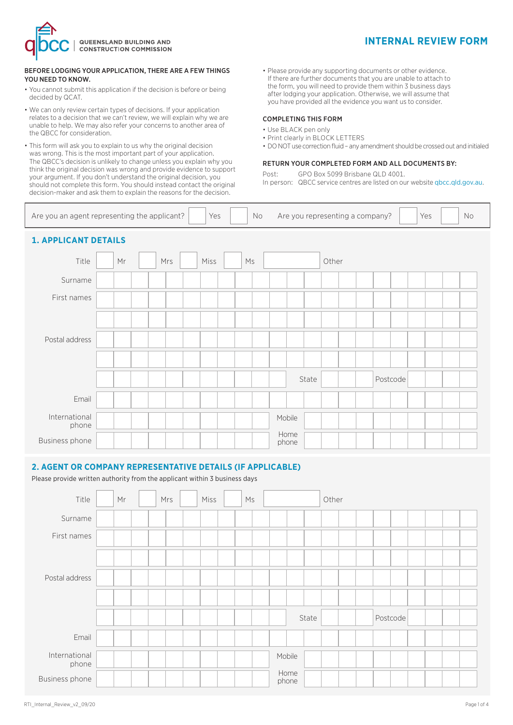

#### BEFORE LODGING YOUR APPLICATION, THERE ARE A FEW THINGS YOU NEED TO KNOW.

- You cannot submit this application if the decision is before or being decided by QCAT.
- We can only review certain types of decisions. If your application relates to a decision that we can't review, we will explain why we are unable to help. We may also refer your concerns to another area of the QBCC for consideration.
- This form will ask you to explain to us why the original decision was wrong. This is the most important part of your application. The QBCC's decision is unlikely to change unless you explain why you think the original decision was wrong and provide evidence to support your argument. If you don't understand the original decision, you should not complete this form. You should instead contact the original decision-maker and ask them to explain the reasons for the decision.
- Please provide any supporting documents or other evidence. If there are further documents that you are unable to attach to the form, you will need to provide them within 3 business days after lodging your application. Otherwise, we will assume that you have provided all the evidence you want us to consider.

#### COMPLETING THIS FORM

- Use BLACK pen only
- Print clearly in BLOCK LETTERS
- DO NOT use correction fluid any amendment should be crossed out and initialed

#### RETURN YOUR COMPLETED FORM AND ALL DOCUMENTS BY:

Post: GPO Box 5099 Brisbane QLD 4001.

In person: QBCC service centres are listed on our website qbcc.qld.gov.au.

| Are you an agent representing the applicant? |    |     | Yes  | Are you representing a company?<br>Yes<br>No<br>No |                         |          |  |  |  |  |  |  |  |  |  |
|----------------------------------------------|----|-----|------|----------------------------------------------------|-------------------------|----------|--|--|--|--|--|--|--|--|--|
| <b>1. APPLICANT DETAILS</b>                  |    |     |      |                                                    |                         |          |  |  |  |  |  |  |  |  |  |
| Title                                        | Mr | Mrs | Miss | M <sub>S</sub>                                     | Other                   |          |  |  |  |  |  |  |  |  |  |
| Surname                                      |    |     |      |                                                    |                         |          |  |  |  |  |  |  |  |  |  |
| First names                                  |    |     |      |                                                    |                         |          |  |  |  |  |  |  |  |  |  |
| Postal address                               |    |     |      |                                                    | State                   | Postcode |  |  |  |  |  |  |  |  |  |
| Email                                        |    |     |      |                                                    |                         |          |  |  |  |  |  |  |  |  |  |
| International<br>phone<br>Business phone     |    |     |      |                                                    | Mobile<br>Home<br>phone |          |  |  |  |  |  |  |  |  |  |

#### **2. AGENT OR COMPANY REPRESENTATIVE DETAILS (IF APPLICABLE)**

Please provide written authority from the applicant within 3 business days

| Title                  | Mr | Mrs |  | Miss | Ms |        |      |       | Other |  |          |  |  |
|------------------------|----|-----|--|------|----|--------|------|-------|-------|--|----------|--|--|
| Surname                |    |     |  |      |    |        |      |       |       |  |          |  |  |
| First names            |    |     |  |      |    |        |      |       |       |  |          |  |  |
|                        |    |     |  |      |    |        |      |       |       |  |          |  |  |
| Postal address         |    |     |  |      |    |        |      |       |       |  |          |  |  |
|                        |    |     |  |      |    |        |      |       |       |  |          |  |  |
|                        |    |     |  |      |    |        |      | State |       |  | Postcode |  |  |
| Email                  |    |     |  |      |    |        |      |       |       |  |          |  |  |
| International<br>phone |    |     |  |      |    | Mobile |      |       |       |  |          |  |  |
| Business phone         |    |     |  |      |    | phone  | Home |       |       |  |          |  |  |

# **INTERNAL REVIEW FORM**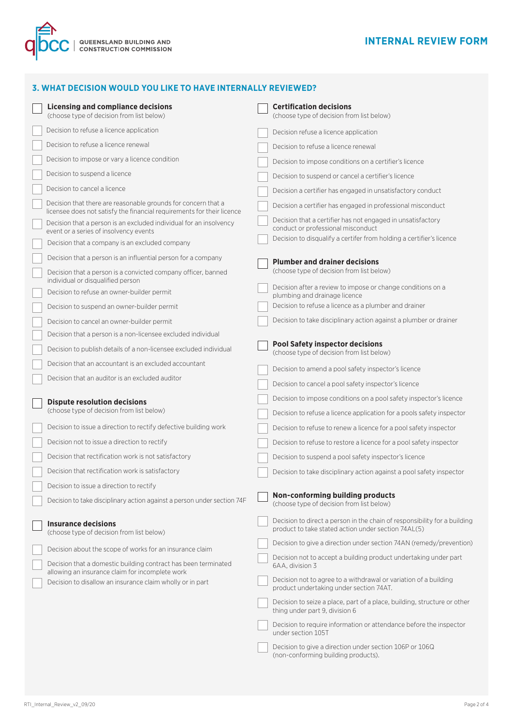



## **3. WHAT DECISION WOULD YOU LIKE TO HAVE INTERNALLY REVIEWED?**

| <b>Licensing and compliance decisions</b><br>(choose type of decision from list below)                                                  | <b>Certification decisions</b><br>(choose type of decision from list below)                                                      |
|-----------------------------------------------------------------------------------------------------------------------------------------|----------------------------------------------------------------------------------------------------------------------------------|
| Decision to refuse a licence application                                                                                                | Decision refuse a licence application                                                                                            |
| Decision to refuse a licence renewal                                                                                                    | Decision to refuse a licence renewal                                                                                             |
| Decision to impose or vary a licence condition                                                                                          | Decision to impose conditions on a certifier's licence                                                                           |
| Decision to suspend a licence                                                                                                           | Decision to suspend or cancel a certifier's licence                                                                              |
| Decision to cancel a licence                                                                                                            | Decision a certifier has engaged in unsatisfactory conduct                                                                       |
| Decision that there are reasonable grounds for concern that a<br>licensee does not satisfy the financial requirements for their licence | Decision a certifier has engaged in professional misconduct                                                                      |
| Decision that a person is an excluded individual for an insolvency<br>event or a series of insolvency events                            | Decision that a certifier has not engaged in unsatisfactory<br>conduct or professional misconduct                                |
| Decision that a company is an excluded company                                                                                          | Decision to disqualify a certifer from holding a certifier's licence                                                             |
| Decision that a person is an influential person for a company                                                                           | <b>Plumber and drainer decisions</b>                                                                                             |
| Decision that a person is a convicted company officer, banned<br>individual or disqualified person                                      | (choose type of decision from list below)                                                                                        |
| Decision to refuse an owner-builder permit                                                                                              | Decision after a review to impose or change conditions on a<br>plumbing and drainage licence                                     |
| Decision to suspend an owner-builder permit                                                                                             | Decision to refuse a licence as a plumber and drainer                                                                            |
| Decision to cancel an owner-builder permit                                                                                              | Decision to take disciplinary action against a plumber or drainer                                                                |
| Decision that a person is a non-licensee excluded individual                                                                            |                                                                                                                                  |
| Decision to publish details of a non-licensee excluded individual                                                                       | <b>Pool Safety inspector decisions</b><br>(choose type of decision from list below)                                              |
| Decision that an accountant is an excluded accountant                                                                                   | Decision to amend a pool safety inspector's licence                                                                              |
| Decision that an auditor is an excluded auditor                                                                                         | Decision to cancel a pool safety inspector's licence                                                                             |
|                                                                                                                                         | Decision to impose conditions on a pool safety inspector's licence                                                               |
| <b>Dispute resolution decisions</b><br>(choose type of decision from list below)                                                        | Decision to refuse a licence application for a pools safety inspector                                                            |
| Decision to issue a direction to rectify defective building work                                                                        | Decision to refuse to renew a licence for a pool safety inspector                                                                |
| Decision not to issue a direction to rectify                                                                                            | Decision to refuse to restore a licence for a pool safety inspector                                                              |
| Decision that rectification work is not satisfactory                                                                                    | Decision to suspend a pool safety inspector's licence                                                                            |
| Decision that rectification work is satisfactory                                                                                        | Decision to take disciplinary action against a pool safety inspector                                                             |
| Decision to issue a direction to rectify                                                                                                |                                                                                                                                  |
| Decision to take disciplinary action against a person under section 74F                                                                 | Non-conforming building products<br>(choose type of decision from list below)                                                    |
| <b>Insurance decisions</b><br>(choose type of decision from list below)                                                                 | Decision to direct a person in the chain of responsibility for a building<br>product to take stated action under section 74AL(5) |
| Decision about the scope of works for an insurance claim                                                                                | Decision to give a direction under section 74AN (remedy/prevention)                                                              |
| Decision that a domestic building contract has been terminated<br>allowing an insurance claim for incomplete work                       | Decision not to accept a building product undertaking under part<br>6AA, division 3                                              |
| Decision to disallow an insurance claim wholly or in part                                                                               | Decision not to agree to a withdrawal or variation of a building<br>product undertaking under section 74AT.                      |
|                                                                                                                                         | Decision to seize a place, part of a place, building, structure or other<br>thing under part 9, division 6                       |
|                                                                                                                                         | Decision to require information or attendance before the inspector<br>under section 105T                                         |
|                                                                                                                                         | Decision to give a direction under section 106P or 106Q<br>(non-conforming building products).                                   |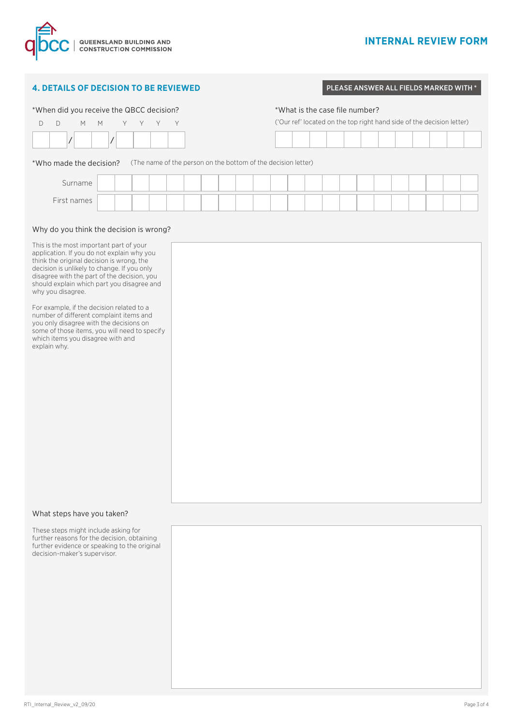

# **INTERNAL REVIEW FORM**

### **4. DETAILS OF DECISION TO BE REVIEWED**

# PLEASE ANSWER ALL FIELDS MARKED WITH \*

| *When did you receive the QBCC decision?                                                                                                                                                                                                                 |                                                               | *What is the case file number?                                        |  |  |  |  |  |  |  |  |  |  |  |  |  |
|----------------------------------------------------------------------------------------------------------------------------------------------------------------------------------------------------------------------------------------------------------|---------------------------------------------------------------|-----------------------------------------------------------------------|--|--|--|--|--|--|--|--|--|--|--|--|--|
| $\mathsf D$<br>D<br>M<br>M<br>Y<br>Y<br>Y                                                                                                                                                                                                                | Y                                                             | ('Our ref' located on the top right hand side of the decision letter) |  |  |  |  |  |  |  |  |  |  |  |  |  |
|                                                                                                                                                                                                                                                          |                                                               |                                                                       |  |  |  |  |  |  |  |  |  |  |  |  |  |
| *Who made the decision?                                                                                                                                                                                                                                  | (The name of the person on the bottom of the decision letter) |                                                                       |  |  |  |  |  |  |  |  |  |  |  |  |  |
| Surname                                                                                                                                                                                                                                                  |                                                               |                                                                       |  |  |  |  |  |  |  |  |  |  |  |  |  |
| First names                                                                                                                                                                                                                                              |                                                               |                                                                       |  |  |  |  |  |  |  |  |  |  |  |  |  |
| Why do you think the decision is wrong?<br>This is the most important part of your                                                                                                                                                                       |                                                               |                                                                       |  |  |  |  |  |  |  |  |  |  |  |  |  |
| application. If you do not explain why you<br>think the original decision is wrong, the<br>decision is unlikely to change. If you only<br>disagree with the part of the decision, you<br>should explain which part you disagree and<br>why you disagree. |                                                               |                                                                       |  |  |  |  |  |  |  |  |  |  |  |  |  |
| For example, if the decision related to a<br>number of different complaint items and<br>you only disagree with the decisions on<br>some of those items, you will need to specify<br>which items you disagree with and<br>explain why.                    |                                                               |                                                                       |  |  |  |  |  |  |  |  |  |  |  |  |  |
|                                                                                                                                                                                                                                                          |                                                               |                                                                       |  |  |  |  |  |  |  |  |  |  |  |  |  |
|                                                                                                                                                                                                                                                          |                                                               |                                                                       |  |  |  |  |  |  |  |  |  |  |  |  |  |
|                                                                                                                                                                                                                                                          |                                                               |                                                                       |  |  |  |  |  |  |  |  |  |  |  |  |  |

#### What steps have you taken?

These steps might include asking for further reasons for the decision, obtaining further evidence or speaking to the original decision-maker's supervisor.